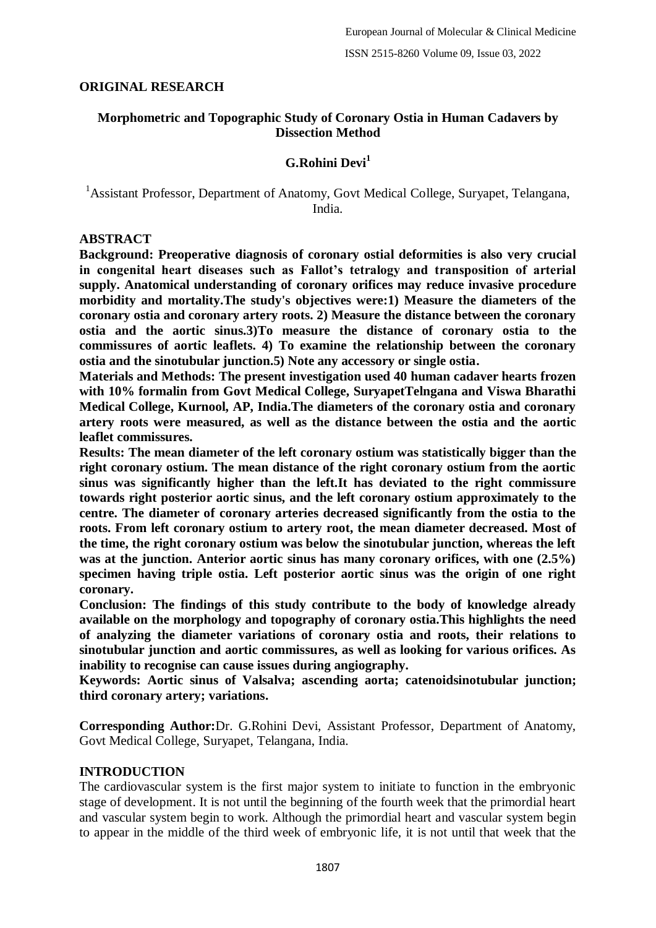#### **ORIGINAL RESEARCH**

#### **Morphometric and Topographic Study of Coronary Ostia in Human Cadavers by Dissection Method**

## **G.Rohini Devi<sup>1</sup>**

#### <sup>1</sup> Assistant Professor, Department of Anatomy, Govt Medical College, Suryapet, Telangana, India.

#### **ABSTRACT**

**Background: Preoperative diagnosis of coronary ostial deformities is also very crucial in congenital heart diseases such as Fallot's tetralogy and transposition of arterial supply. Anatomical understanding of coronary orifices may reduce invasive procedure morbidity and mortality.The study's objectives were:1) Measure the diameters of the coronary ostia and coronary artery roots. 2) Measure the distance between the coronary ostia and the aortic sinus.3)To measure the distance of coronary ostia to the commissures of aortic leaflets. 4) To examine the relationship between the coronary ostia and the sinotubular junction.5) Note any accessory or single ostia.**

**Materials and Methods: The present investigation used 40 human cadaver hearts frozen with 10% formalin from Govt Medical College, SuryapetTelngana and Viswa Bharathi Medical College, Kurnool, AP, India.The diameters of the coronary ostia and coronary artery roots were measured, as well as the distance between the ostia and the aortic leaflet commissures.**

**Results: The mean diameter of the left coronary ostium was statistically bigger than the right coronary ostium. The mean distance of the right coronary ostium from the aortic sinus was significantly higher than the left.It has deviated to the right commissure towards right posterior aortic sinus, and the left coronary ostium approximately to the centre. The diameter of coronary arteries decreased significantly from the ostia to the roots. From left coronary ostium to artery root, the mean diameter decreased. Most of the time, the right coronary ostium was below the sinotubular junction, whereas the left was at the junction. Anterior aortic sinus has many coronary orifices, with one (2.5%) specimen having triple ostia. Left posterior aortic sinus was the origin of one right coronary.**

**Conclusion: The findings of this study contribute to the body of knowledge already available on the morphology and topography of coronary ostia.This highlights the need of analyzing the diameter variations of coronary ostia and roots, their relations to sinotubular junction and aortic commissures, as well as looking for various orifices. As inability to recognise can cause issues during angiography.**

**Keywords: Aortic sinus of Valsalva; ascending aorta; catenoidsinotubular junction; third coronary artery; variations.**

**Corresponding Author:**Dr. G.Rohini Devi, Assistant Professor, Department of Anatomy, Govt Medical College, Suryapet, Telangana, India.

#### **INTRODUCTION**

The cardiovascular system is the first major system to initiate to function in the embryonic stage of development. It is not until the beginning of the fourth week that the primordial heart and vascular system begin to work. Although the primordial heart and vascular system begin to appear in the middle of the third week of embryonic life, it is not until that week that the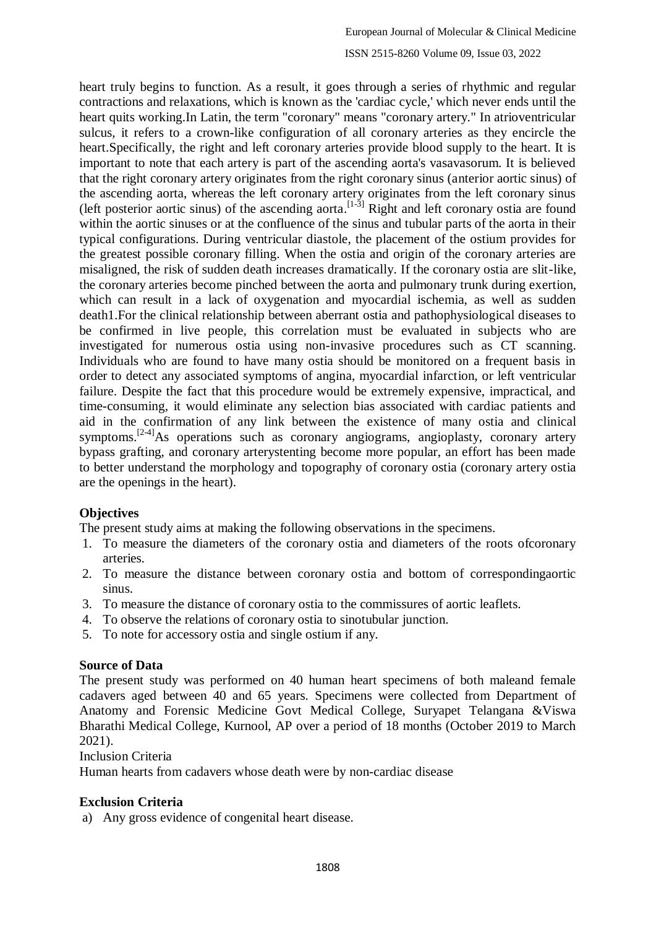heart truly begins to function. As a result, it goes through a series of rhythmic and regular contractions and relaxations, which is known as the 'cardiac cycle,' which never ends until the heart quits working.In Latin, the term "coronary" means "coronary artery." In atrioventricular sulcus, it refers to a crown-like configuration of all coronary arteries as they encircle the heart.Specifically, the right and left coronary arteries provide blood supply to the heart. It is important to note that each artery is part of the ascending aorta's vasavasorum. It is believed that the right coronary artery originates from the right coronary sinus (anterior aortic sinus) of the ascending aorta, whereas the left coronary artery originates from the left coronary sinus (left posterior aortic sinus) of the ascending aorta.  $[1-3]$  Right and left coronary ostia are found within the aortic sinuses or at the confluence of the sinus and tubular parts of the aorta in their typical configurations. During ventricular diastole, the placement of the ostium provides for the greatest possible coronary filling. When the ostia and origin of the coronary arteries are misaligned, the risk of sudden death increases dramatically. If the coronary ostia are slit-like, the coronary arteries become pinched between the aorta and pulmonary trunk during exertion, which can result in a lack of oxygenation and myocardial ischemia, as well as sudden death1.For the clinical relationship between aberrant ostia and pathophysiological diseases to be confirmed in live people, this correlation must be evaluated in subjects who are investigated for numerous ostia using non-invasive procedures such as CT scanning. Individuals who are found to have many ostia should be monitored on a frequent basis in order to detect any associated symptoms of angina, myocardial infarction, or left ventricular failure. Despite the fact that this procedure would be extremely expensive, impractical, and time-consuming, it would eliminate any selection bias associated with cardiac patients and aid in the confirmation of any link between the existence of many ostia and clinical symptoms.<sup>[2-4]</sup>As operations such as coronary angiograms, angioplasty, coronary artery bypass grafting, and coronary arterystenting become more popular, an effort has been made to better understand the morphology and topography of coronary ostia (coronary artery ostia are the openings in the heart).

## **Objectives**

The present study aims at making the following observations in the specimens.

- 1. To measure the diameters of the coronary ostia and diameters of the roots ofcoronary arteries.
- 2. To measure the distance between coronary ostia and bottom of correspondingaortic sinus.
- 3. To measure the distance of coronary ostia to the commissures of aortic leaflets.
- 4. To observe the relations of coronary ostia to sinotubular junction.
- 5. To note for accessory ostia and single ostium if any.

## **Source of Data**

The present study was performed on 40 human heart specimens of both maleand female cadavers aged between 40 and 65 years. Specimens were collected from Department of Anatomy and Forensic Medicine Govt Medical College, Suryapet Telangana &Viswa Bharathi Medical College, Kurnool, AP over a period of 18 months (October 2019 to March 2021).

Inclusion Criteria

Human hearts from cadavers whose death were by non-cardiac disease

## **Exclusion Criteria**

a) Any gross evidence of congenital heart disease.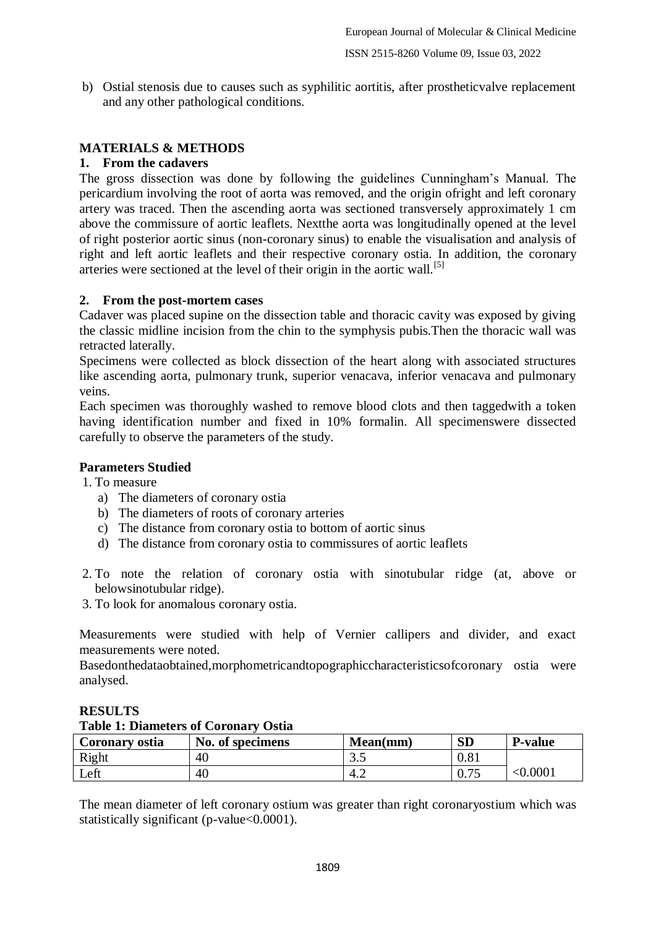b) Ostial stenosis due to causes such as syphilitic aortitis, after prostheticvalve replacement and any other pathological conditions.

# **MATERIALS & METHODS**

## **1. From the cadavers**

The gross dissection was done by following the guidelines Cunningham's Manual. The pericardium involving the root of aorta was removed, and the origin ofright and left coronary artery was traced. Then the ascending aorta was sectioned transversely approximately 1 cm above the commissure of aortic leaflets. Nextthe aorta was longitudinally opened at the level of right posterior aortic sinus (non-coronary sinus) to enable the visualisation and analysis of right and left aortic leaflets and their respective coronary ostia. In addition, the coronary arteries were sectioned at the level of their origin in the aortic wall.<sup>[5]</sup>

## **2. From the post-mortem cases**

Cadaver was placed supine on the dissection table and thoracic cavity was exposed by giving the classic midline incision from the chin to the symphysis pubis.Then the thoracic wall was retracted laterally.

Specimens were collected as block dissection of the heart along with associated structures like ascending aorta, pulmonary trunk, superior venacava, inferior venacava and pulmonary veins.

Each specimen was thoroughly washed to remove blood clots and then taggedwith a token having identification number and fixed in 10% formalin. All specimenswere dissected carefully to observe the parameters of the study.

## **Parameters Studied**

1. To measure

- a) The diameters of coronary ostia
- b) The diameters of roots of coronary arteries
- c) The distance from coronary ostia to bottom of aortic sinus
- d) The distance from coronary ostia to commissures of aortic leaflets
- 2. To note the relation of coronary ostia with sinotubular ridge (at, above or belowsinotubular ridge).
- 3. To look for anomalous coronary ostia.

Measurements were studied with help of Vernier callipers and divider, and exact measurements were noted.

Basedonthedataobtained,morphometricandtopographiccharacteristicsofcoronary ostia were analysed.

| Table 1. Diameters of Coronary Ostla |                  |          |           |                |  |
|--------------------------------------|------------------|----------|-----------|----------------|--|
| Coronary ostia                       | No. of specimens | Mean(mm) | <b>SD</b> | <b>P-value</b> |  |
| Right                                | 40               | ر. ر     | $0.81\,$  |                |  |
| Left                                 | 40               | $-4.4$   |           | $<\!\!0.0001$  |  |

#### **RESULTS Table 1: Diameters of Coronary Ostia**

The mean diameter of left coronary ostium was greater than right coronaryostium which was statistically significant (p-value<0.0001).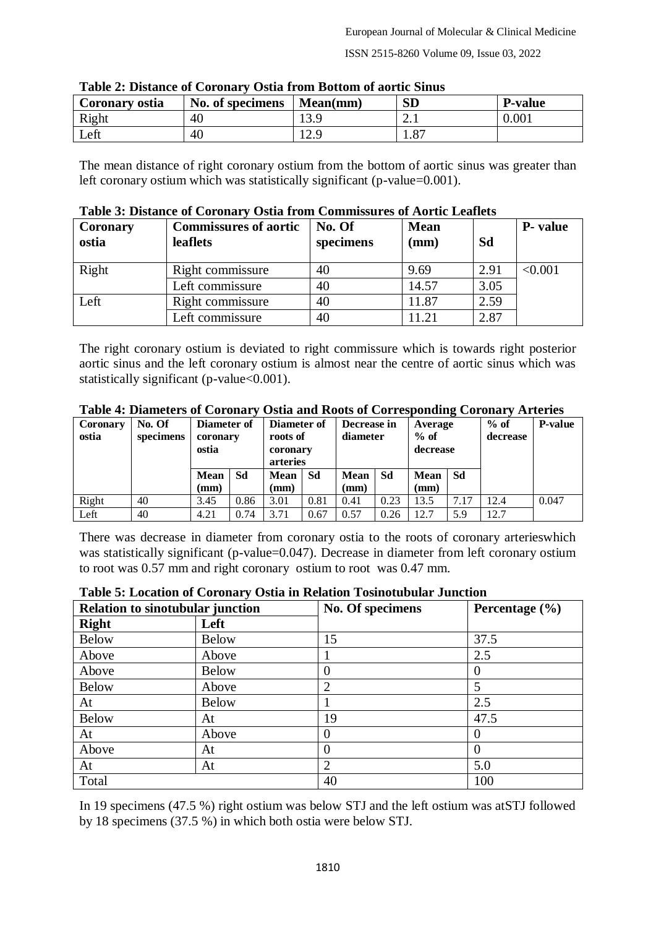ISSN 2515-8260 Volume 09, Issue 03, 2022

| Coronary ostia | No. of specimens | Mean(mm)   | $\mathbf{SD}$         | <b>P-value</b> |
|----------------|------------------|------------|-----------------------|----------------|
| Right          | 40               | 12C<br>1 J | 2. l                  | $0.001\,$      |
| Left           | 40               | 12.9       | O <sub>7</sub><br>1.0 |                |

The mean distance of right coronary ostium from the bottom of aortic sinus was greater than left coronary ostium which was statistically significant (p-value=0.001).

| <b>Coronary</b><br>ostia | <b>Commissures of aortic</b><br>leaflets | No. Of<br>specimens | <b>Mean</b><br>(mm) | Sd   | <b>P</b> - value |
|--------------------------|------------------------------------------|---------------------|---------------------|------|------------------|
| Right                    | Right commissure                         | 40                  | 9.69                | 2.91 | < 0.001          |
|                          | Left commissure                          | 40                  | 14.57               | 3.05 |                  |
| Left                     | Right commissure                         | 40                  | 11.87               | 2.59 |                  |
|                          | Left commissure                          | 40                  | 1.21                | 2.87 |                  |

The right coronary ostium is deviated to right commissure which is towards right posterior aortic sinus and the left coronary ostium is almost near the centre of aortic sinus which was statistically significant (p-value<0.001).

| Coronary<br>ostia | No. Of<br>specimens | Diameter of<br>coronary<br>ostia |      | Diameter of<br>roots of<br>coronary<br>arteries |      | Decrease in<br>diameter |      | Average<br>$%$ of<br>decrease | $\bullet$ | $%$ of<br>decrease | <b>P-value</b> |
|-------------------|---------------------|----------------------------------|------|-------------------------------------------------|------|-------------------------|------|-------------------------------|-----------|--------------------|----------------|
|                   |                     | <b>Mean</b>                      | Sd   | <b>Mean</b>                                     | Sd   | <b>Mean</b>             | Sd   | <b>Mean</b>                   | ∣ Sd      |                    |                |
|                   |                     | (mm)                             |      | (mm)                                            |      | (mm)                    |      | (mm)                          |           |                    |                |
| Right             | 40                  | 3.45                             | 0.86 | 3.01                                            | 0.81 | 0.41                    | 0.23 | 13.5                          | 7.17      | 12.4               | 0.047          |
| Left              | 40                  | 4.21                             | 0.74 | 3.71                                            | 0.67 | 0.57                    | 0.26 | 12.7                          | 5.9       | 12.7               |                |

**Table 4: Diameters of Coronary Ostia and Roots of Corresponding Coronary Arteries**

There was decrease in diameter from coronary ostia to the roots of coronary arterieswhich was statistically significant (p-value=0.047). Decrease in diameter from left coronary ostium to root was 0.57 mm and right coronary ostium to root was 0.47 mm.

#### **Table 5: Location of Coronary Ostia in Relation Tosinotubular Junction**

| <b>Relation to sinotubular junction</b> |              | No. Of specimens            | Percentage (%) |
|-----------------------------------------|--------------|-----------------------------|----------------|
| <b>Right</b>                            | Left         |                             |                |
| <b>Below</b>                            | <b>Below</b> | 15                          | 37.5           |
| Above                                   | Above        |                             | 2.5            |
| Above                                   | <b>Below</b> | $\theta$                    |                |
| <b>Below</b>                            | Above        | $\overline{2}$              | 5              |
| At                                      | <b>Below</b> |                             | 2.5            |
| <b>Below</b>                            | At           | 19                          | 47.5           |
| At                                      | Above        | $\theta$                    |                |
| Above                                   | At           | $\theta$                    | $\Omega$       |
| At                                      | At           | $\mathcal{D}_{\mathcal{L}}$ | 5.0            |
| Total                                   |              | 40                          | 100            |

In 19 specimens (47.5 %) right ostium was below STJ and the left ostium was atSTJ followed by 18 specimens (37.5 %) in which both ostia were below STJ.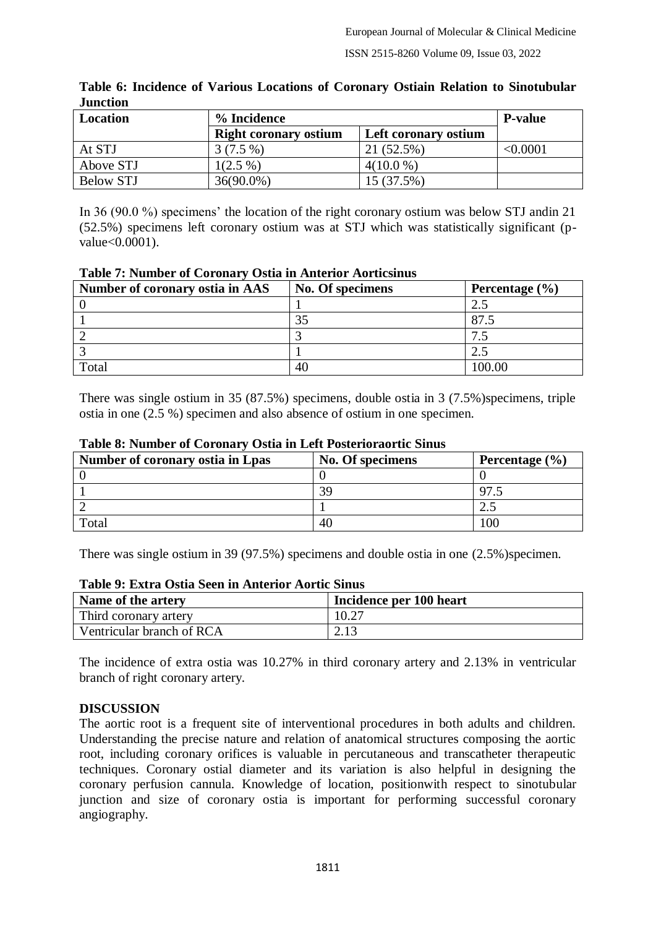| Location  | % Incidence                  | <b>P</b> -value      |                 |
|-----------|------------------------------|----------------------|-----------------|
|           | <b>Right coronary ostium</b> | Left coronary ostium |                 |
| At STJ    | $3(7.5\%)$                   | 21 (52.5%)           | $< \!\! 0.0001$ |
| Above STJ | $1(2.5\%)$                   | $4(10.0\%)$          |                 |
| Below STJ | $36(90.0\%)$                 | 15 (37.5%)           |                 |

#### **Table 6: Incidence of Various Locations of Coronary Ostiain Relation to Sinotubular Junction**

In 36 (90.0 %) specimens' the location of the right coronary ostium was below STJ andin 21 (52.5%) specimens left coronary ostium was at STJ which was statistically significant (pvalue<0.0001).

|  | <b>Table 7: Number of Coronary Ostia in Anterior Aorticsinus</b> |  |  |  |
|--|------------------------------------------------------------------|--|--|--|
|  | $\cdots$ $\cdots$                                                |  |  |  |

| Number of coronary ostia in AAS | No. Of specimens | Percentage $(\% )$ |
|---------------------------------|------------------|--------------------|
|                                 |                  |                    |
|                                 |                  | 97.                |
|                                 |                  |                    |
|                                 |                  |                    |
| Total                           |                  | 100.00             |

There was single ostium in 35 (87.5%) specimens, double ostia in 3 (7.5%)specimens, triple ostia in one (2.5 %) specimen and also absence of ostium in one specimen.

| Number of coronary ostia in Lpas | No. Of specimens | Percentage $(\% )$ |
|----------------------------------|------------------|--------------------|
|                                  |                  |                    |
|                                  | 39               | 97                 |
|                                  |                  |                    |
| Total                            | 40               | 00                 |

#### **Table 8: Number of Coronary Ostia in Left Posterioraortic Sinus**

There was single ostium in 39 (97.5%) specimens and double ostia in one (2.5%)specimen.

| Table 9: Extra Osua Seen in Amerior Auruc Sinus |                         |  |  |  |
|-------------------------------------------------|-------------------------|--|--|--|
| Name of the artery                              | Incidence per 100 heart |  |  |  |
| Third coronary artery                           | 10.27                   |  |  |  |
| Ventricular branch of RCA                       | 2.13                    |  |  |  |

# **Table 9: Extra Ostia Seen in Anterior Aortic Sinus**

The incidence of extra ostia was 10.27% in third coronary artery and 2.13% in ventricular branch of right coronary artery.

## **DISCUSSION**

The aortic root is a frequent site of interventional procedures in both adults and children. Understanding the precise nature and relation of anatomical structures composing the aortic root, including coronary orifices is valuable in percutaneous and transcatheter therapeutic techniques. Coronary ostial diameter and its variation is also helpful in designing the coronary perfusion cannula. Knowledge of location, positionwith respect to sinotubular junction and size of coronary ostia is important for performing successful coronary angiography.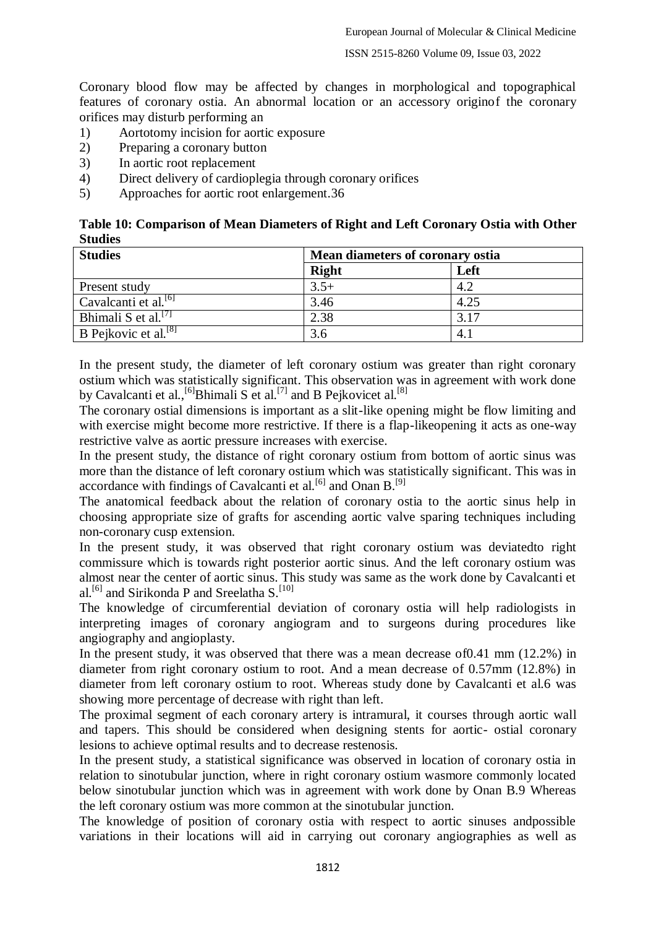ISSN 2515-8260 Volume 09, Issue 03, 2022

Coronary blood flow may be affected by changes in morphological and topographical features of coronary ostia. An abnormal location or an accessory originof the coronary orifices may disturb performing an

- 1) Aortotomy incision for aortic exposure
- 2) Preparing a coronary button
- 3) In aortic root replacement
- 4) Direct delivery of cardioplegia through coronary orifices
- 5) Approaches for aortic root enlargement.36

| Table 10: Comparison of Mean Diameters of Right and Left Coronary Ostia with Other |  |
|------------------------------------------------------------------------------------|--|
| <b>Studies</b>                                                                     |  |

| <b>Studies</b>                   | Mean diameters of coronary ostia |      |
|----------------------------------|----------------------------------|------|
|                                  | <b>Right</b>                     | Left |
| Present study                    | $3.5+$                           | 4.2  |
| Cavalcanti et al. <sup>[6]</sup> | 3.46                             | 4.25 |
| Bhimali S et al. <sup>[7]</sup>  | 2.38                             | 3.17 |
| B Pejkovic et al. <sup>[8]</sup> | 3.6                              | 4.1  |

In the present study, the diameter of left coronary ostium was greater than right coronary ostium which was statistically significant. This observation was in agreement with work done by Cavalcanti et al., <sup>[6]</sup>Bhimali S et al.<sup>[7]</sup> and B Pejkovicet al.<sup>[8]</sup>

The coronary ostial dimensions is important as a slit-like opening might be flow limiting and with exercise might become more restrictive. If there is a flap-likeopening it acts as one-way restrictive valve as aortic pressure increases with exercise.

In the present study, the distance of right coronary ostium from bottom of aortic sinus was more than the distance of left coronary ostium which was statistically significant. This was in accordance with findings of Cavalcanti et al.<sup>[6]</sup> and Onan B.<sup>[9]</sup>

The anatomical feedback about the relation of coronary ostia to the aortic sinus help in choosing appropriate size of grafts for ascending aortic valve sparing techniques including non-coronary cusp extension.

In the present study, it was observed that right coronary ostium was deviatedto right commissure which is towards right posterior aortic sinus. And the left coronary ostium was almost near the center of aortic sinus. This study was same as the work done by Cavalcanti et al.<sup>[6]</sup> and Sirikonda P and Sreelatha S.<sup>[10]</sup>

The knowledge of circumferential deviation of coronary ostia will help radiologists in interpreting images of coronary angiogram and to surgeons during procedures like angiography and angioplasty.

In the present study, it was observed that there was a mean decrease of 0.41 mm (12.2%) in diameter from right coronary ostium to root. And a mean decrease of 0.57mm (12.8%) in diameter from left coronary ostium to root. Whereas study done by Cavalcanti et al.6 was showing more percentage of decrease with right than left.

The proximal segment of each coronary artery is intramural, it courses through aortic wall and tapers. This should be considered when designing stents for aortic- ostial coronary lesions to achieve optimal results and to decrease restenosis.

In the present study, a statistical significance was observed in location of coronary ostia in relation to sinotubular junction, where in right coronary ostium wasmore commonly located below sinotubular junction which was in agreement with work done by Onan B.9 Whereas the left coronary ostium was more common at the sinotubular junction.

The knowledge of position of coronary ostia with respect to aortic sinuses andpossible variations in their locations will aid in carrying out coronary angiographies as well as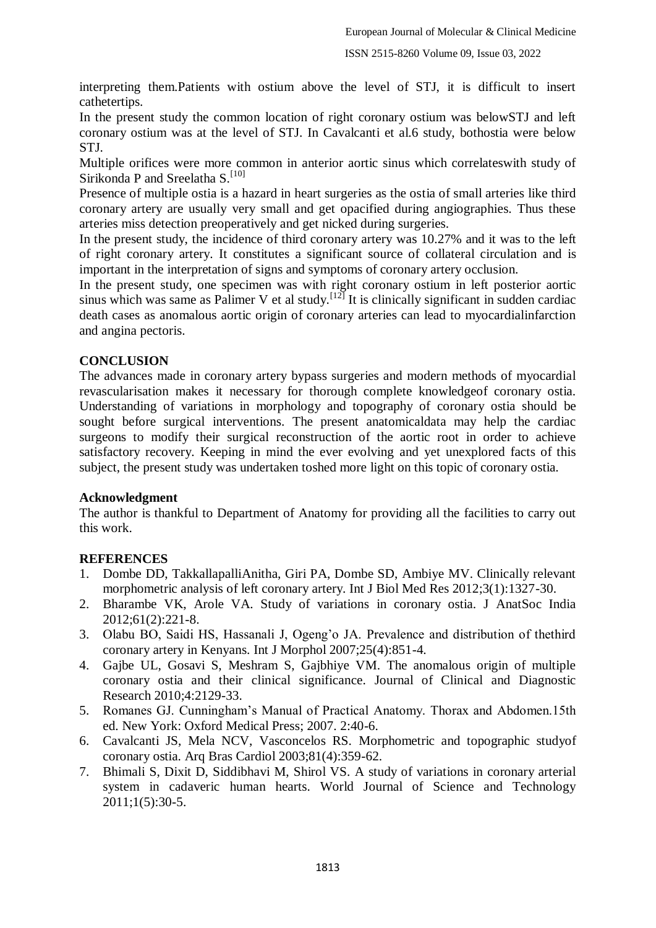interpreting them.Patients with ostium above the level of STJ, it is difficult to insert cathetertips.

In the present study the common location of right coronary ostium was belowSTJ and left coronary ostium was at the level of STJ. In Cavalcanti et al.6 study, bothostia were below STJ.

Multiple orifices were more common in anterior aortic sinus which correlateswith study of Sirikonda P and Sreelatha S.<sup>[10]</sup>

Presence of multiple ostia is a hazard in heart surgeries as the ostia of small arteries like third coronary artery are usually very small and get opacified during angiographies. Thus these arteries miss detection preoperatively and get nicked during surgeries.

In the present study, the incidence of third coronary artery was 10.27% and it was to the left of right coronary artery. It constitutes a significant source of collateral circulation and is important in the interpretation of signs and symptoms of coronary artery occlusion.

In the present study, one specimen was with right coronary ostium in left posterior aortic sinus which was same as Palimer V et al study.<sup>[12]</sup> It is clinically significant in sudden cardiac death cases as anomalous aortic origin of coronary arteries can lead to myocardialinfarction and angina pectoris.

#### **CONCLUSION**

The advances made in coronary artery bypass surgeries and modern methods of myocardial revascularisation makes it necessary for thorough complete knowledgeof coronary ostia. Understanding of variations in morphology and topography of coronary ostia should be sought before surgical interventions. The present anatomicaldata may help the cardiac surgeons to modify their surgical reconstruction of the aortic root in order to achieve satisfactory recovery. Keeping in mind the ever evolving and yet unexplored facts of this subject, the present study was undertaken toshed more light on this topic of coronary ostia.

#### **Acknowledgment**

The author is thankful to Department of Anatomy for providing all the facilities to carry out this work.

## **REFERENCES**

- 1. Dombe DD, TakkallapalliAnitha, Giri PA, Dombe SD, Ambiye MV. Clinically relevant morphometric analysis of left coronary artery. Int J Biol Med Res 2012;3(1):1327-30.
- 2. Bharambe VK, Arole VA. Study of variations in coronary ostia. J AnatSoc India 2012;61(2):221-8.
- 3. Olabu BO, Saidi HS, Hassanali J, Ogeng'o JA. Prevalence and distribution of thethird coronary artery in Kenyans. Int J Morphol 2007;25(4):851-4.
- 4. Gajbe UL, Gosavi S, Meshram S, Gajbhiye VM. The anomalous origin of multiple coronary ostia and their clinical significance. Journal of Clinical and Diagnostic Research 2010;4:2129-33.
- 5. Romanes GJ. Cunningham's Manual of Practical Anatomy. Thorax and Abdomen.15th ed. New York: Oxford Medical Press; 2007. 2:40-6.
- 6. Cavalcanti JS, Mela NCV, Vasconcelos RS. Morphometric and topographic studyof coronary ostia. Arq Bras Cardiol 2003;81(4):359-62.
- 7. Bhimali S, Dixit D, Siddibhavi M, Shirol VS. A study of variations in coronary arterial system in cadaveric human hearts. World Journal of Science and Technology 2011;1(5):30-5.